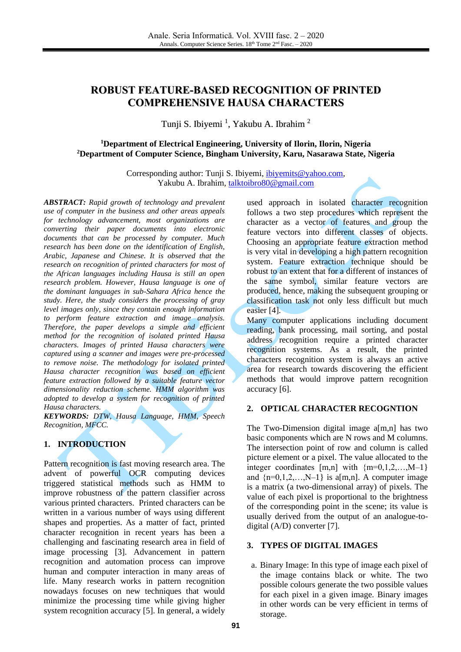# **ROBUST FEATURE-BASED RECOGNITION OF PRINTED COMPREHENSIVE HAUSA CHARACTERS**

Tunji S. Ibiyemi <sup>1</sup>, Yakubu A. Ibrahim <sup>2</sup>

### **<sup>1</sup>Department of Electrical Engineering, University of Ilorin, Ilorin, Nigeria <sup>2</sup>Department of Computer Science, Bingham University, Karu, Nasarawa State, Nigeria**

Corresponding author: Tunji S. Ibiyemi, [ibiyemits@yahoo.com,](mailto:ibiyemits@yahoo.com) Yakubu A. Ibrahim, [talktoibro80@gmail.com](mailto:talktoibro80@gmail.com)

*ABSTRACT: Rapid growth of technology and prevalent use of computer in the business and other areas appeals for technology advancement, most organizations are converting their paper documents into electronic documents that can be processed by computer. Much research has been done on the identification of English, Arabic, Japanese and Chinese. It is observed that the research on recognition of printed characters for most of the African languages including Hausa is still an open research problem. However, Hausa language is one of the dominant languages in sub-Sahara Africa hence the study. Here, the study considers the processing of gray level images only, since they contain enough information to perform feature extraction and image analysis. Therefore, the paper develops a simple and efficient method for the recognition of isolated printed Hausa characters. Images of printed Hausa characters were captured using a scanner and images were pre-processed to remove noise. The methodology for isolated printed Hausa character recognition was based on efficient feature extraction followed by a suitable feature vector dimensionality reduction scheme. HMM algorithm was adopted to develop a system for recognition of printed Hausa characters.* 

*KEYWORDS: DTW, Hausa Language, HMM, Speech Recognition, MFCC.* 

### **1. INTRODUCTION**

Pattern recognition is fast moving research area. The advent of powerful OCR computing devices triggered statistical methods such as HMM to improve robustness of the pattern classifier across various printed characters. Printed characters can be written in a various number of ways using different shapes and properties. As a matter of fact, printed character recognition in recent years has been a challenging and fascinating research area in field of image processing [\[3\].](#page-6-0) Advancement in pattern recognition and automation process can improve human and computer interaction in many areas of life. Many research works in pattern recognition nowadays focuses on new techniques that would minimize the processing time while giving higher system recognition accuracy [\[5\].](#page-6-1) In general, a widely

used approach in isolated character recognition follows a two step procedures which represent the character as a vector of features and group the feature vectors into different classes of objects. Choosing an appropriate feature extraction method is very vital in developing a high pattern recognition system. Feature extraction technique should be robust to an extent that for a different of instances of the same symbol, similar feature vectors are produced, hence, making the subsequent grouping or classification task not only less difficult but much easier [\[4\].](#page-6-2)

Many computer applications including document reading, bank processing, mail sorting, and postal address recognition require a printed character recognition systems. As a result, the printed characters recognition system is always an active area for research towards discovering the efficient methods that would improve pattern recognition accuracy [\[6\].](#page-6-3)

#### **2. OPTICAL CHARACTER RECOGNTION**

The Two-Dimension digital image a[m,n] has two basic components which are N rows and M columns. The intersection point of row and column is called picture element or a pixel. The value allocated to the integer coordinates  $[m,n]$  with  ${m=0,1,2,...,M-1}$ and  $\{n=0,1,2,...,N-1\}$  is a[m,n]. A computer image is a matrix (a two-dimensional array) of pixels. The value of each pixel is proportional to the brightness of the corresponding point in the scene; its value is usually derived from the output of an analogue-todigital (A/D) converter [\[7\].](#page-6-4)

#### **3. TYPES OF DIGITAL IMAGES**

a. Binary Image: In this type of image each pixel of the image contains black or white. The two possible colours generate the two possible values for each pixel in a given image. Binary images in other words can be very efficient in terms of storage.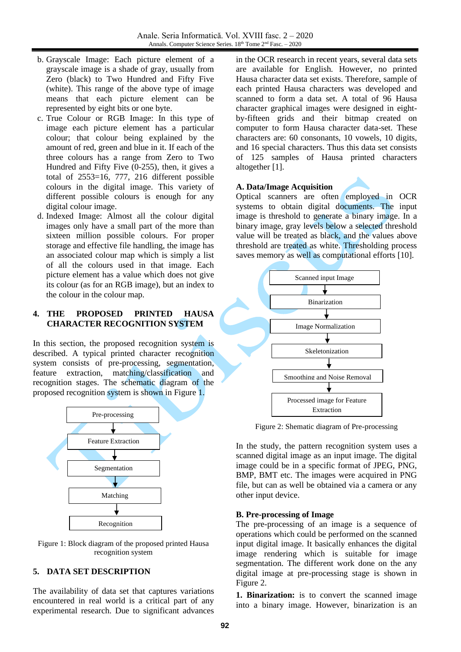- b. Grayscale Image: Each picture element of a grayscale image is a shade of gray, usually from Zero (black) to Two Hundred and Fifty Five (white). This range of the above type of image means that each picture element can be represented by eight bits or one byte.
- c. True Colour or RGB Image: In this type of image each picture element has a particular colour; that colour being explained by the amount of red, green and blue in it. If each of the three colours has a range from Zero to Two Hundred and Fifty Five (0-255), then, it gives a total of 2553=16, 777, 216 different possible colours in the digital image. This variety of different possible colours is enough for any digital colour image.
- d. Indexed Image: Almost all the colour digital images only have a small part of the more than sixteen million possible colours. For proper storage and effective file handling, the image has an associated colour map which is simply a list of all the colours used in that image. Each picture element has a value which does not give its colour (as for an RGB image), but an index to the colour in the colour map.

### **4. THE PROPOSED PRINTED HAUSA CHARACTER RECOGNITION SYSTEM**

In this section, the proposed recognition system is described. A typical printed character recognition system consists of pre-processing, segmentation, feature extraction, matching/classification and recognition stages. The schematic diagram of the proposed recognition system is shown in Figure 1.



Figure 1: Block diagram of the proposed printed Hausa recognition system

## **5. DATA SET DESCRIPTION**

The availability of data set that captures variations encountered in real world is a critical part of any experimental research. Due to significant advances in the OCR research in recent years, several data sets are available for English. However, no printed Hausa character data set exists. Therefore, sample of each printed Hausa characters was developed and scanned to form a data set. A total of 96 Hausa character graphical images were designed in eightby-fifteen grids and their bitmap created on computer to form Hausa character data-set. These characters are: 60 consonants, 10 vowels, 10 digits, and 16 special characters. Thus this data set consists of 125 samples of Hausa printed characters altogether [\[1\].](#page-6-5)

#### **A. Data/Image Acquisition**

Optical scanners are often employed in OCR systems to obtain digital documents. The input image is threshold to generate a binary image. In a binary image, gray levels below a selected threshold value will be treated as black, and the values above threshold are treated as white. Thresholding process saves memory as well as computational efforts [\[10\].](#page-6-6)



Figure 2: Shematic diagram of Pre-processing

In the study, the pattern recognition system uses a scanned digital image as an input image. The digital image could be in a specific format of JPEG, PNG, BMP, BMT etc. The images were acquired in PNG file, but can as well be obtained via a camera or any other input device.

#### **B. Pre-processing of Image**

The pre-processing of an image is a sequence of operations which could be performed on the scanned input digital image. It basically enhances the digital image rendering which is suitable for image segmentation. The different work done on the any digital image at pre-processing stage is shown in Figure 2.

**1. Binarization:** is to convert the scanned image into a binary image. However, binarization is an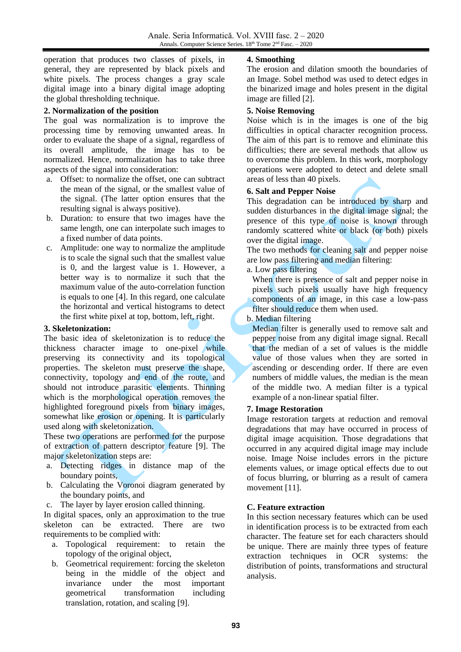operation that produces two classes of pixels, in general, they are represented by black pixels and white pixels. The process changes a gray scale digital image into a binary digital image adopting the global thresholding technique.

## **2. Normalization of the position**

The goal was normalization is to improve the processing time by removing unwanted areas. In order to evaluate the shape of a signal, regardless of its overall amplitude, the image has to be normalized. Hence, normalization has to take three aspects of the signal into consideration:

- a. Offset: to normalize the offset, one can subtract the mean of the signal, or the smallest value of the signal. (The latter option ensures that the resulting signal is always positive).
- b. Duration: to ensure that two images have the same length, one can interpolate such images to a fixed number of data points.
- c. Amplitude: one way to normalize the amplitude is to scale the signal such that the smallest value is 0, and the largest value is 1. However, a better way is to normalize it such that the maximum value of the auto-correlation function is equals to one [\[4\].](#page-6-2) In this regard, one calculate the horizontal and vertical histograms to detect the first white pixel at top, bottom, left, right.

#### **3. Skeletonization:**

The basic idea of skeletonization is to reduce the thickness character image to one-pixel while preserving its connectivity and its topological properties. The skeleton must preserve the shape, connectivity, topology and end of the route, and should not introduce parasitic elements. Thinning which is the morphological operation removes the highlighted foreground pixels from binary images, somewhat like erosion or opening. It is particularly used along with skeletonization.

These two operations are performed for the purpose of extraction of pattern descriptor feature [\[9\].](#page-6-7) The major skeletonization steps are:

- a. Detecting ridges in distance map of the boundary points,
- b. Calculating the Voronoi diagram generated by the boundary points, and
- c. The layer by layer erosion called thinning.

In digital spaces, only an approximation to the true skeleton can be extracted. There are two requirements to be complied with:

- a. Topological requirement: to retain the topology of the original object,
- b. Geometrical requirement: forcing the skeleton being in the middle of the object and invariance under the most important geometrical transformation including translation, rotation, and scaling [\[9\].](#page-6-7)

## **4. Smoothing**

The erosion and dilation smooth the boundaries of an Image. Sobel method was used to detect edges in the binarized image and holes present in the digital image are filled [\[2\].](#page-6-8)

## **5. Noise Removing**

Noise which is in the images is one of the big difficulties in optical character recognition process. The aim of this part is to remove and eliminate this difficulties; there are several methods that allow us to overcome this problem. In this work, morphology operations were adopted to detect and delete small areas of less than 40 pixels.

## **6. Salt and Pepper Noise**

This degradation can be introduced by sharp and sudden disturbances in the digital image signal; the presence of this type of noise is known through randomly scattered white or black (or both) pixels over the digital image.

The two methods for cleaning salt and pepper noise are low pass filtering and median filtering:

#### a. Low pass filtering

When there is presence of salt and pepper noise in pixels such pixels usually have high frequency components of an image, in this case a low-pass filter should reduce them when used.

## b. Median filtering

Median filter is generally used to remove salt and pepper noise from any digital image signal. Recall that the median of a set of values is the middle value of those values when they are sorted in ascending or descending order. If there are even numbers of middle values, the median is the mean of the middle two. A median filter is a typical example of a non-linear spatial filter.

#### **7. Image Restoration**

Image restoration targets at reduction and removal degradations that may have occurred in process of digital image acquisition. Those degradations that occurred in any acquired digital image may include noise. Image Noise includes errors in the picture elements values, or image optical effects due to out of focus blurring, or blurring as a result of camera movement [\[11\].](#page-6-9)

## **C. Feature extraction**

In this section necessary features which can be used in identification process is to be extracted from each character. The feature set for each characters should be unique. There are mainly three types of feature extraction techniques in OCR systems: the distribution of points, transformations and structural analysis.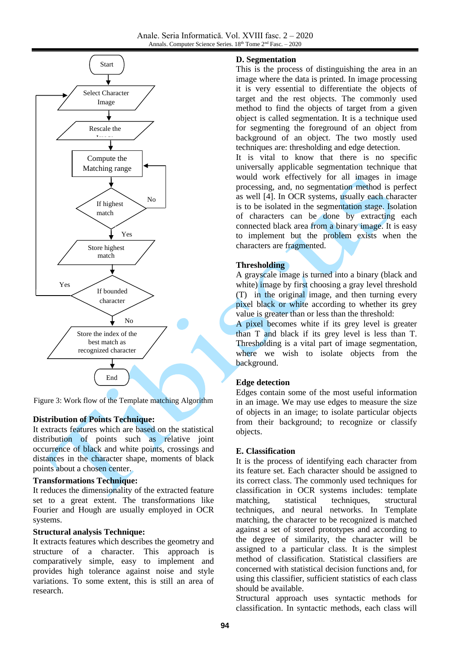

Figure 3: Work flow of the Template matching Algorithm

# **Distribution of Points Technique:**

It extracts features which are based on the statistical distribution of points such as relative joint distribution of points such as relative joint<br>occurrence of black and white points, crossings and distances in the character shape, moments of black points about a chosen center.

# **Transformations Technique:**

It reduces the dimensionality of the extracted feature set to a great extent. The transformations like Fourier and Hough are usually employed in OCR systems.

#### **Structural analysis Technique:**

It extracts features which describes the geometry and structure of a character. This approach is comparatively simple, easy to implement and provides high tolerance against noise and style variations. To some extent, this is still an area of research.

#### **D. Segmentation**

This is the process of distinguishing the area in an image where the data is printed. In image processing it is very essential to differentiate the objects of target and the rest objects. The commonly used method to find the objects of target from a given object is called segmentation. It is a technique used for segmenting the foreground of an object from background of an object. The two mostly used techniques are: thresholding and edge detection.

It is vital to know that there is no specific universally applicable segmentation technique that would work effectively for all images in image processing, and, no segmentation method is perfect as well [\[4\].](#page-6-2) In OCR systems, usually each character is to be isolated in the segmentation stage. Isolation of characters can be done by extracting each connected black area from a binary image. It is easy to implement but the problem exists when the characters are fragmented.

## **Thresholding**

A grayscale image is turned into a binary (black and white) image by first choosing a gray level threshold (T) in the original image, and then turning every pixel black or white according to whether its grey value is greater than or less than the threshold:

A pixel becomes white if its grey level is greater than T and black if its grey level is less than T. Thresholding is a vital part of image segmentation, where we wish to isolate objects from the background.

## **Edge detection**

Edges contain some of the most useful information in an image. We may use edges to measure the size of objects in an image; to isolate particular objects from their background; to recognize or classify objects.

#### **E. Classification**

It is the process of identifying each character from its feature set. Each character should be assigned to its correct class. The commonly used techniques for classification in OCR systems includes: template matching, statistical techniques, structural techniques, and neural networks. In Template matching, the character to be recognized is matched against a set of stored prototypes and according to the degree of similarity, the character will be assigned to a particular class. It is the simplest method of classification. Statistical classifiers are concerned with statistical decision functions and, for using this classifier, sufficient statistics of each class should be available.

Structural approach uses syntactic methods for classification. In syntactic methods, each class will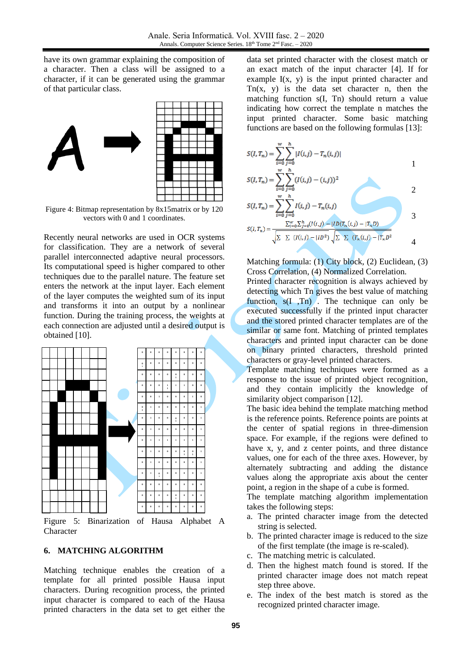have its own grammar explaining the composition of a character. Then a class will be assigned to a character, if it can be generated using the grammar of that particular class.



Figure 4: Bitmap representation by 8x15matrix or by 120 vectors with 0 and 1 coordinates.

Recently neural networks are used in OCR systems for classification. They are a network of several parallel interconnected adaptive neural processors. Its computational speed is higher compared to other techniques due to the parallel nature. The feature set enters the network at the input layer. Each element of the layer computes the weighted sum of its input and transforms it into an output by a nonlinear function. During the training process, the weights at each connection are adjusted until a desired output is obtained [\[10\].](#page-6-6)



Figure 5: Binarization of Hausa Alphabet A Character

#### **6. MATCHING ALGORITHM**

Matching technique enables the creation of a template for all printed possible Hausa input characters. During recognition process, the printed input character is compared to each of the Hausa printed characters in the data set to get either the

data set printed character with the closest match or an exact match of the input character [\[4\].](#page-6-2) If for example  $I(x, y)$  is the input printed character and  $Tn(x, y)$  is the data set character n, then the matching function s(I, Tn) should return a value indicating how correct the template n matches the input printed character. Some basic matching functions are based on the following formulas [\[13\]:](#page-6-10)



Matching formula: (1) City block, (2) Euclidean, (3) Cross Correlation, (4) Normalized Correlation.

Printed character recognition is always achieved by detecting which Tn gives the best value of matching function,  $s(I, Tn)$ . The technique can only be executed successfully if the printed input character and the stored printed character templates are of the similar or same font. Matching of printed templates characters and printed input character can be done on binary printed characters, threshold printed characters or gray-level printed characters.

Template matching techniques were formed as a response to the issue of printed object recognition, and they contain implicitly the knowledge of similarity object comparison [\[12\].](#page-6-11)

The basic idea behind the template matching method is the reference points. Reference points are points at the center of spatial regions in three-dimension space. For example, if the regions were defined to have x, y, and z center points, and three distance values, one for each of the three axes. However, by alternately subtracting and adding the distance values along the appropriate axis about the center point, a region in the shape of a cube is formed.

The template matching algorithm implementation takes the following steps:

- a. The printed character image from the detected string is selected.
- b. The printed character image is reduced to the size of the first template (the image is re-scaled).
- c. The matching metric is calculated.
- d. Then the highest match found is stored. If the printed character image does not match repeat step three above.
- e. The index of the best match is stored as the recognized printed character image.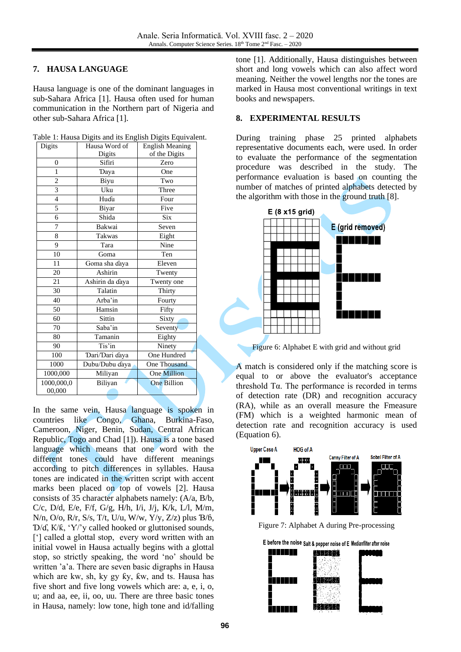## **7. HAUSA LANGUAGE**

Hausa language is one of the dominant languages in sub-Sahara Africa [\[1\].](#page-6-5) Hausa often used for human communication in the Northern part of Nigeria and other sub-Sahara Africa [\[1\].](#page-6-5)

|               |               | Table 1: Hausa Digits and its English Digits Equivalent. |
|---------------|---------------|----------------------------------------------------------|
| $\Box$ Digits | Hausa Word of | English Meaning                                          |

| Digits         | riausa woru of<br>енgны меанинд |                    |  |
|----------------|---------------------------------|--------------------|--|
|                | Digits                          | of the Digits      |  |
| $\theta$       | Sifiri                          | Zero               |  |
| 1              | Daya                            | One                |  |
| $\overline{2}$ | Biyu                            | Two                |  |
| 3              | Uku                             | Three              |  |
| $\overline{4}$ | Huɗu                            | Four               |  |
| 5              | Biyar                           | Five               |  |
| 6              | Shida                           | <b>Six</b>         |  |
| 7              | Bakwai                          | Seven              |  |
| 8              | <b>Takwas</b>                   | Eight              |  |
| 9              | Tara                            | Nine               |  |
| 10             | Goma                            | Ten                |  |
| 11             | Goma sha ɗaya                   | Eleven             |  |
| 20             | $\overline{A}$ shirin           | Twenty             |  |
| 21             | Ashirin da ɗaya<br>Twenty one   |                    |  |
| 30             | Talatin                         | Thirty             |  |
| 40             | Arba'in                         | Fourty             |  |
| 50             | Hamsin                          | Fifty              |  |
| 60             | Sittin                          | Sixty              |  |
| 70             | Saba'in                         | Seventy            |  |
| 80             | Tamanin                         | Eighty             |  |
| 90             | Tis'in                          | Ninety             |  |
| 100            | Dari/Dari ɗaya                  | One Hundred        |  |
| 1000           | Dubu/Dubu ɗaya                  | One Thousand       |  |
| 1000,000       | Miliyan                         | <b>One Million</b> |  |
| 1000,000,0     | Biliyan                         | <b>One Billion</b> |  |
| 00,000         |                                 |                    |  |

In the same vein, Hausa language is spoken in countries like Congo, Ghana, Burkina-Faso, Cameroon, Niger, Benin, Sudan, Central African Republic, Togo and Chad [\[1\]\)](#page-6-5). Hausa is a tone based language which means that one word with the different tones could have different meanings according to pitch differences in syllables. Hausa tones are indicated in the written script with accent marks been placed on top of vowels [\[2\].](#page-6-8) Hausa consists of 35 character alphabets namely: (A/a, B/b, C/c, D/d, E/e, F/f, G/g, H/h, I/i, J/j, K/k, L/l, M/m, N/n, O/o, R/r, S/s, T/t, U/u, W/w, Y/y, Z/z) plus Ɓ/ɓ, Ɗ/ɗ, К/ƙ, 'Ƴ/'y called hooked or gluttonised sounds, ['] called a glottal stop, every word written with an initial vowel in Hausa actually begins with a glottal stop, so strictly speaking, the word 'no' should be written 'a'a. There are seven basic digraphs in Hausa which are kw, sh, ky gy ƙy, ƙw, and ts. Hausa has five short and five long vowels which are: a, e, i, o, u; and aa, ee, ii, oo, uu. There are three basic tones in Hausa, namely: low tone, high tone and id/falling tone [\[1\].](#page-6-5) Additionally, Hausa distinguishes between short and long vowels which can also affect word meaning. Neither the vowel lengths nor the tones are marked in Hausa most conventional writings in text books and newspapers.

#### **8. EXPERIMENTAL RESULTS**

During training phase 25 printed alphabets representative documents each, were used. In order to evaluate the performance of the segmentation procedure was described in the study. The performance evaluation is based on counting the number of matches of printed alphabets detected by the algorithm with those in the ground trut[h \[8\].](#page-6-12)



Figure 6: Alphabet E with grid and without grid

A match is considered only if the matching score is equal to or above the evaluator's acceptance threshold Tα. The performance is recorded in terms of detection rate (DR) and recognition accuracy (RA), while as an overall measure the Fmeasure (FM) which is a weighted harmonic mean of detection rate and recognition accuracy is used (Equation 6).



Figure 7: Alphabet A during Pre-processing